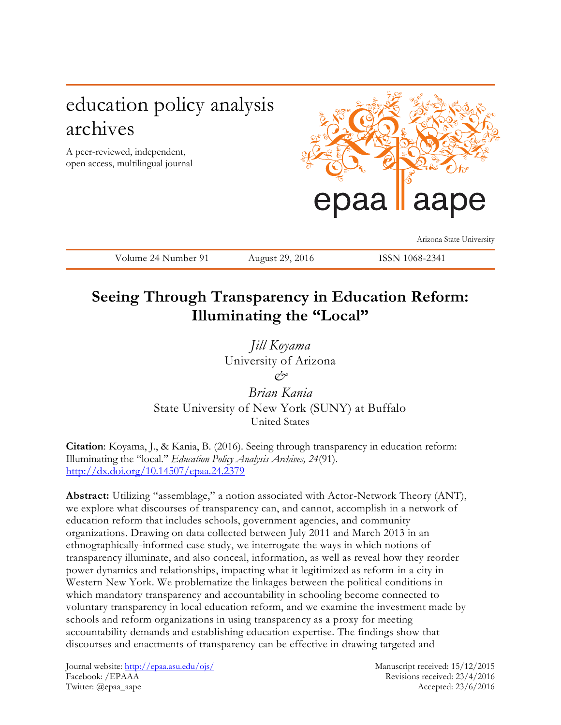# education policy analysis archives

A peer-reviewed, independent, open access, multilingual journal



Arizona State University

Volume 24 Number 91 August 29, 2016 ISSN 1068-2341

# **Seeing Through Transparency in Education Reform: Illuminating the "Local"**

*Jill Koyama* University of Arizona *&*

*Brian Kania* State University of New York (SUNY) at Buffalo United States

**Citation**: Koyama, J., & Kania, B. (2016). Seeing through transparency in education reform: Illuminating the "local." *Education Policy Analysis Archives, 24*(91). <http://dx.doi.org/10.14507/epaa.24.2379>

**Abstract:** Utilizing "assemblage," a notion associated with Actor-Network Theory (ANT), we explore what discourses of transparency can, and cannot, accomplish in a network of education reform that includes schools, government agencies, and community organizations. Drawing on data collected between July 2011 and March 2013 in an ethnographically-informed case study, we interrogate the ways in which notions of transparency illuminate, and also conceal, information, as well as reveal how they reorder power dynamics and relationships, impacting what it legitimized as reform in a city in Western New York. We problematize the linkages between the political conditions in which mandatory transparency and accountability in schooling become connected to voluntary transparency in local education reform, and we examine the investment made by schools and reform organizations in using transparency as a proxy for meeting accountability demands and establishing education expertise. The findings show that discourses and enactments of transparency can be effective in drawing targeted and

Journal website:<http://epaa.asu.edu/ojs/> Manuscript received: 15/12/2015 Facebook: /EPAAA Revisions received: 23/4/2016 Twitter: @epaa\_aape Accepted: 23/6/2016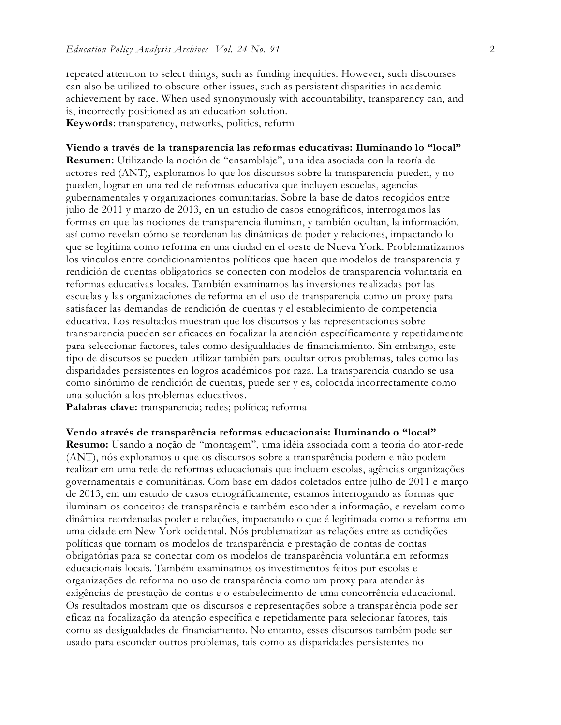repeated attention to select things, such as funding inequities. However, such discourses can also be utilized to obscure other issues, such as persistent disparities in academic achievement by race. When used synonymously with accountability, transparency can, and is, incorrectly positioned as an education solution. **Keywords**: transparency, networks, politics, reform

**Viendo a través de la transparencia las reformas educativas: Iluminando lo "local" Resumen:** Utilizando la noción de "ensamblaje", una idea asociada con la teoría de actores-red (ANT), exploramos lo que los discursos sobre la transparencia pueden, y no pueden, lograr en una red de reformas educativa que incluyen escuelas, agencias gubernamentales y organizaciones comunitarias. Sobre la base de datos recogidos entre julio de 2011 y marzo de 2013, en un estudio de casos etnográficos, interrogamos las formas en que las nociones de transparencia iluminan, y también ocultan, la información, así como revelan cómo se reordenan las dinámicas de poder y relaciones, impactando lo que se legitima como reforma en una ciudad en el oeste de Nueva York. Problematizamos los vínculos entre condicionamientos políticos que hacen que modelos de transparencia y rendición de cuentas obligatorios se conecten con modelos de transparencia voluntaria en reformas educativas locales. También examinamos las inversiones realizadas por las escuelas y las organizaciones de reforma en el uso de transparencia como un proxy para satisfacer las demandas de rendición de cuentas y el establecimiento de competencia educativa. Los resultados muestran que los discursos y las representaciones sobre transparencia pueden ser eficaces en focalizar la atención específicamente y repetidamente para seleccionar factores, tales como desigualdades de financiamiento. Sin embargo, este tipo de discursos se pueden utilizar también para ocultar otros problemas, tales como las disparidades persistentes en logros académicos por raza. La transparencia cuando se usa como sinónimo de rendición de cuentas, puede ser y es, colocada incorrectamente como una solución a los problemas educativos.

**Palabras clave:** transparencia; redes; política; reforma

**Vendo através de transparência reformas educacionais: Iluminando o "local" Resumo:** Usando a noção de "montagem", uma idéia associada com a teoria do ator-rede (ANT), nós exploramos o que os discursos sobre a transparência podem e não podem realizar em uma rede de reformas educacionais que incluem escolas, agências organizações governamentais e comunitárias. Com base em dados coletados entre julho de 2011 e março de 2013, em um estudo de casos etnográficamente, estamos interrogando as formas que iluminam os conceitos de transparência e também esconder a informação, e revelam como dinâmica reordenadas poder e relações, impactando o que é legitimada como a reforma em uma cidade em New York ocidental. Nós problematizar as relações entre as condições políticas que tornam os modelos de transparência e prestação de contas de contas obrigatórias para se conectar com os modelos de transparência voluntária em reformas educacionais locais. Também examinamos os investimentos feitos por escolas e organizações de reforma no uso de transparência como um proxy para atender às exigências de prestação de contas e o estabelecimento de uma concorrência educacional. Os resultados mostram que os discursos e representações sobre a transparência pode ser eficaz na focalização da atenção específica e repetidamente para selecionar fatores, tais como as desigualdades de financiamento. No entanto, esses discursos também pode ser usado para esconder outros problemas, tais como as disparidades persistentes no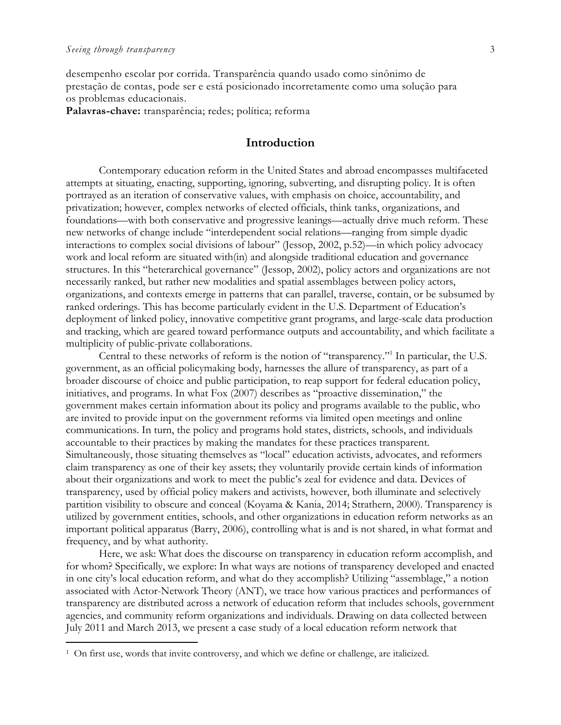$\overline{a}$ 

desempenho escolar por corrida. Transparência quando usado como sinônimo de prestação de contas, pode ser e está posicionado incorretamente como uma solução para os problemas educacionais.

**Palavras-chave:** transparência; redes; política; reforma

## **Introduction**

Contemporary education reform in the United States and abroad encompasses multifaceted attempts at situating, enacting, supporting, ignoring, subverting, and disrupting policy. It is often portrayed as an iteration of conservative values, with emphasis on choice, accountability, and privatization; however, complex networks of elected officials, think tanks, organizations, and foundations—with both conservative and progressive leanings—actually drive much reform. These new networks of change include "interdependent social relations—ranging from simple dyadic interactions to complex social divisions of labour" (Jessop, 2002, p.52)—in which policy advocacy work and local reform are situated with(in) and alongside traditional education and governance structures. In this "heterarchical governance" (Jessop, 2002), policy actors and organizations are not necessarily ranked, but rather new modalities and spatial assemblages between policy actors, organizations, and contexts emerge in patterns that can parallel, traverse, contain, or be subsumed by ranked orderings. This has become particularly evident in the U.S. Department of Education's deployment of linked policy, innovative competitive grant programs, and large-scale data production and tracking, which are geared toward performance outputs and accountability, and which facilitate a multiplicity of public-private collaborations.

Central to these networks of reform is the notion of "transparency."<sup>1</sup> In particular, the U.S. government, as an official policymaking body, harnesses the allure of transparency, as part of a broader discourse of choice and public participation, to reap support for federal education policy, initiatives, and programs. In what Fox (2007) describes as "proactive dissemination," the government makes certain information about its policy and programs available to the public, who are invited to provide input on the government reforms via limited open meetings and online communications. In turn, the policy and programs hold states, districts, schools, and individuals accountable to their practices by making the mandates for these practices transparent. Simultaneously, those situating themselves as "local" education activists, advocates, and reformers claim transparency as one of their key assets; they voluntarily provide certain kinds of information about their organizations and work to meet the public's zeal for evidence and data. Devices of transparency, used by official policy makers and activists, however, both illuminate and selectively partition visibility to obscure and conceal (Koyama & Kania, 2014; Strathern, 2000). Transparency is utilized by government entities, schools, and other organizations in education reform networks as an important political apparatus (Barry, 2006), controlling what is and is not shared, in what format and frequency, and by what authority.

Here, we ask: What does the discourse on transparency in education reform accomplish, and for whom? Specifically, we explore: In what ways are notions of transparency developed and enacted in one city's local education reform, and what do they accomplish? Utilizing "assemblage," a notion associated with Actor-Network Theory (ANT), we trace how various practices and performances of transparency are distributed across a network of education reform that includes schools, government agencies, and community reform organizations and individuals. Drawing on data collected between July 2011 and March 2013, we present a case study of a local education reform network that

<sup>&</sup>lt;sup>1</sup> On first use, words that invite controversy, and which we define or challenge, are italicized.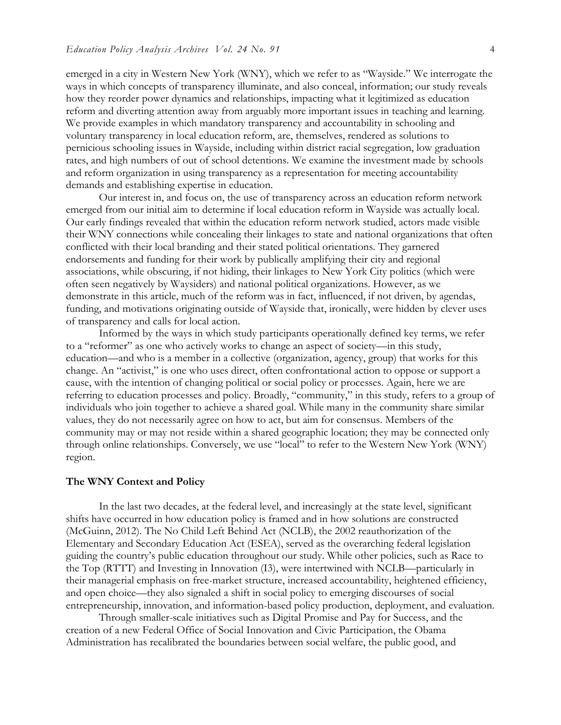emerged in a city in Western New York (WNY), which we refer to as "Wayside." We interrogate the ways in which concepts of transparency illuminate, and also conceal, information; our study reveals how they reorder power dynamics and relationships, impacting what it legitimized as education reform and diverting attention away from arguably more important issues in teaching and learning. We provide examples in which mandatory transparency and accountability in schooling and voluntary transparency in local education reform, are, themselves, rendered as solutions to pernicious schooling issues in Wayside, including within district racial segregation, low graduation rates, and high numbers of out of school detentions. We examine the investment made by schools and reform organization in using transparency as a representation for meeting accountability demands and establishing expertise in education.

Our interest in, and focus on, the use of transparency across an education reform network emerged from our initial aim to determine if local education reform in Wayside was actually local. Our early findings revealed that within the education reform network studied, actors made visible their WNY connections while concealing their linkages to state and national organizations that often conflicted with their local branding and their stated political orientations. They garnered endorsements and funding for their work by publically amplifying their city and regional associations, while obscuring, if not hiding, their linkages to New York City politics (which were often seen negatively by Waysiders) and national political organizations. However, as we demonstrate in this article, much of the reform was in fact, influenced, if not driven, by agendas, funding, and motivations originating outside of Wayside that, ironically, were hidden by clever uses of transparency and calls for local action.

Informed by the ways in which study participants operationally defined key terms, we refer to a "reformer" as one who actively works to change an aspect of society—in this study, education—and who is a member in a collective (organization, agency, group) that works for this change. An "activist," is one who uses direct, often confrontational action to oppose or support a cause, with the intention of changing political or social policy or processes. Again, here we are referring to education processes and policy. Broadly, "community," in this study, refers to a group of individuals who join together to achieve a shared goal. While many in the community share similar values, they do not necessarily agree on how to act, but aim for consensus. Members of the community may or may not reside within a shared geographic location; they may be connected only through online relationships. Conversely, we use "local" to refer to the Western New York (WNY) region.

#### **The WNY Context and Policy**

In the last two decades, at the federal level, and increasingly at the state level, significant shifts have occurred in how education policy is framed and in how solutions are constructed (McGuinn, 2012). The No Child Left Behind Act (NCLB), the 2002 reauthorization of the Elementary and Secondary Education Act (ESEA), served as the overarching federal legislation guiding the country's public education throughout our study. While other policies, such as Race to the Top (RTTT) and Investing in Innovation (I3), were intertwined with NCLB—particularly in their managerial emphasis on free-market structure, increased accountability, heightened efficiency, and open choice—they also signaled a shift in social policy to emerging discourses of social entrepreneurship, innovation, and information-based policy production, deployment, and evaluation.

Through smaller-scale initiatives such as Digital Promise and Pay for Success, and the creation of a new Federal Office of Social Innovation and Civic Participation, the Obama Administration has recalibrated the boundaries between social welfare, the public good, and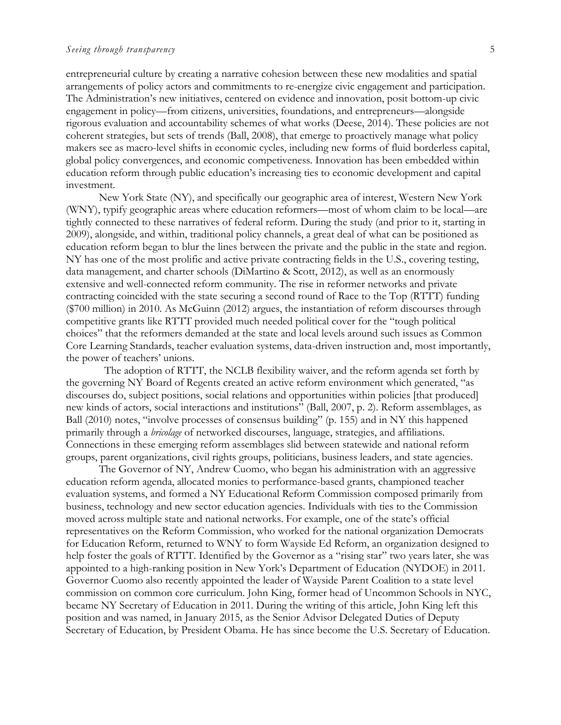entrepreneurial culture by creating a narrative cohesion between these new modalities and spatial arrangements of policy actors and commitments to re-energize civic engagement and participation. The Administration's new initiatives, centered on evidence and innovation, posit bottom-up civic engagement in policy—from citizens, universities, foundations, and entrepreneurs—alongside rigorous evaluation and accountability schemes of what works (Deese, 2014). These policies are not coherent strategies, but sets of trends (Ball, 2008), that emerge to proactively manage what policy makers see as macro-level shifts in economic cycles, including new forms of fluid borderless capital, global policy convergences, and economic competiveness. Innovation has been embedded within education reform through public education's increasing ties to economic development and capital investment.

New York State (NY), and specifically our geographic area of interest, Western New York (WNY), typify geographic areas where education reformers—most of whom claim to be local—are tightly connected to these narratives of federal reform. During the study (and prior to it, starting in 2009), alongside, and within, traditional policy channels, a great deal of what can be positioned as education reform began to blur the lines between the private and the public in the state and region. NY has one of the most prolific and active private contracting fields in the U.S., covering testing, data management, and charter schools (DiMartino & Scott, 2012), as well as an enormously extensive and well-connected reform community. The rise in reformer networks and private contracting coincided with the state securing a second round of Race to the Top (RTTT) funding (\$700 million) in 2010. As McGuinn (2012) argues, the instantiation of reform discourses through competitive grants like RTTT provided much needed political cover for the "tough political choices" that the reformers demanded at the state and local levels around such issues as Common Core Learning Standards, teacher evaluation systems, data-driven instruction and, most importantly, the power of teachers' unions.

 The adoption of RTTT, the NCLB flexibility waiver, and the reform agenda set forth by the governing NY Board of Regents created an active reform environment which generated, "as discourses do, subject positions, social relations and opportunities within policies [that produced] new kinds of actors, social interactions and institutions" (Ball, 2007, p. 2). Reform assemblages, as Ball (2010) notes, "involve processes of consensus building" (p. 155) and in NY this happened primarily through a *bricolage* of networked discourses, language, strategies, and affiliations. Connections in these emerging reform assemblages slid between statewide and national reform groups, parent organizations, civil rights groups, politicians, business leaders, and state agencies.

The Governor of NY, Andrew Cuomo, who began his administration with an aggressive education reform agenda, allocated monies to performance-based grants, championed teacher evaluation systems, and formed a NY Educational Reform Commission composed primarily from business, technology and new sector education agencies. Individuals with ties to the Commission moved across multiple state and national networks. For example, one of the state's official representatives on the Reform Commission, who worked for the national organization Democrats for Education Reform, returned to WNY to form Wayside Ed Reform, an organization designed to help foster the goals of RTTT. Identified by the Governor as a "rising star" two years later, she was appointed to a high-ranking position in New York's Department of Education (NYDOE) in 2011. Governor Cuomo also recently appointed the leader of Wayside Parent Coalition to a state level commission on common core curriculum. John King, former head of Uncommon Schools in NYC, became NY Secretary of Education in 2011. During the writing of this article, John King left this position and was named, in January 2015, as the Senior Advisor Delegated Duties of Deputy Secretary of Education, by President Obama. He has since become the U.S. Secretary of Education.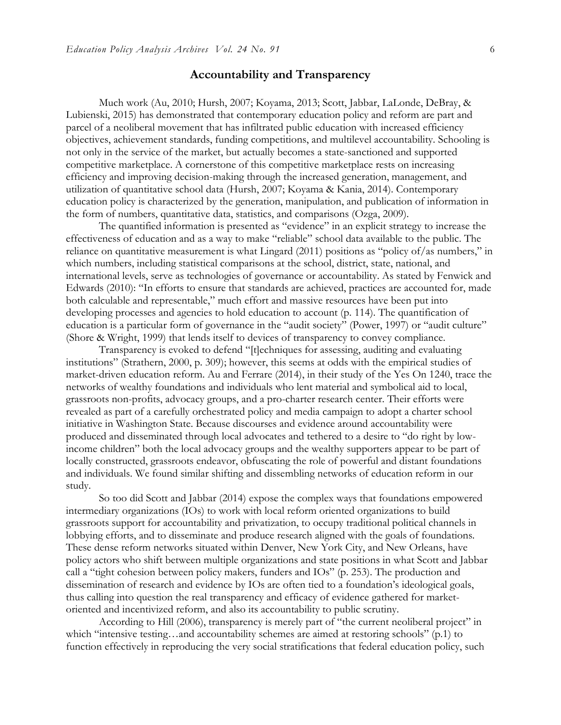# **Accountability and Transparency**

Much work (Au, 2010; Hursh, 2007; Koyama, 2013; Scott, Jabbar, LaLonde, DeBray, & Lubienski, 2015) has demonstrated that contemporary education policy and reform are part and parcel of a neoliberal movement that has infiltrated public education with increased efficiency objectives, achievement standards, funding competitions, and multilevel accountability. Schooling is not only in the service of the market, but actually becomes a state-sanctioned and supported competitive marketplace. A cornerstone of this competitive marketplace rests on increasing efficiency and improving decision-making through the increased generation, management, and utilization of quantitative school data (Hursh, 2007; Koyama & Kania, 2014). Contemporary education policy is characterized by the generation, manipulation, and publication of information in the form of numbers, quantitative data, statistics, and comparisons (Ozga, 2009).

The quantified information is presented as "evidence" in an explicit strategy to increase the effectiveness of education and as a way to make "reliable" school data available to the public. The reliance on quantitative measurement is what Lingard (2011) positions as "policy of/as numbers," in which numbers, including statistical comparisons at the school, district, state, national, and international levels, serve as technologies of governance or accountability. As stated by Fenwick and Edwards (2010): "In efforts to ensure that standards are achieved, practices are accounted for, made both calculable and representable," much effort and massive resources have been put into developing processes and agencies to hold education to account (p. 114). The quantification of education is a particular form of governance in the "audit society" (Power, 1997) or "audit culture" (Shore & Wright, 1999) that lends itself to devices of transparency to convey compliance.

Transparency is evoked to defend "[t]echniques for assessing, auditing and evaluating institutions" (Strathern, 2000, p. 309); however, this seems at odds with the empirical studies of market-driven education reform. Au and Ferrare (2014), in their study of the Yes On 1240, trace the networks of wealthy foundations and individuals who lent material and symbolical aid to local, grassroots non-profits, advocacy groups, and a pro-charter research center. Their efforts were revealed as part of a carefully orchestrated policy and media campaign to adopt a charter school initiative in Washington State. Because discourses and evidence around accountability were produced and disseminated through local advocates and tethered to a desire to "do right by lowincome children" both the local advocacy groups and the wealthy supporters appear to be part of locally constructed, grassroots endeavor, obfuscating the role of powerful and distant foundations and individuals. We found similar shifting and dissembling networks of education reform in our study.

So too did Scott and Jabbar (2014) expose the complex ways that foundations empowered intermediary organizations (IOs) to work with local reform oriented organizations to build grassroots support for accountability and privatization, to occupy traditional political channels in lobbying efforts, and to disseminate and produce research aligned with the goals of foundations. These dense reform networks situated within Denver, New York City, and New Orleans, have policy actors who shift between multiple organizations and state positions in what Scott and Jabbar call a "tight cohesion between policy makers, funders and IOs" (p. 253). The production and dissemination of research and evidence by IOs are often tied to a foundation's ideological goals, thus calling into question the real transparency and efficacy of evidence gathered for marketoriented and incentivized reform, and also its accountability to public scrutiny.

According to Hill (2006), transparency is merely part of "the current neoliberal project" in which "intensive testing...and accountability schemes are aimed at restoring schools" (p.1) to function effectively in reproducing the very social stratifications that federal education policy, such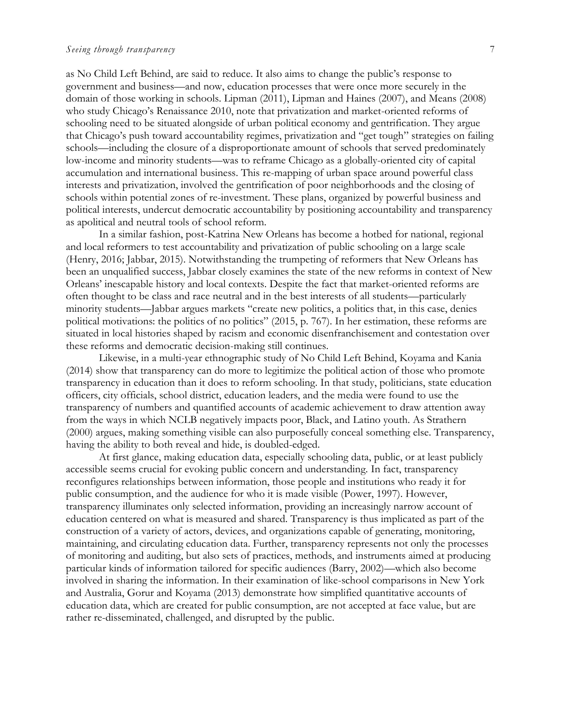as No Child Left Behind, are said to reduce. It also aims to change the public's response to government and business—and now, education processes that were once more securely in the domain of those working in schools. Lipman (2011), Lipman and Haines (2007), and Means (2008) who study Chicago's Renaissance 2010, note that privatization and market-oriented reforms of schooling need to be situated alongside of urban political economy and gentrification. They argue that Chicago's push toward accountability regimes, privatization and "get tough" strategies on failing schools—including the closure of a disproportionate amount of schools that served predominately low-income and minority students—was to reframe Chicago as a globally-oriented city of capital accumulation and international business. This re-mapping of urban space around powerful class interests and privatization, involved the gentrification of poor neighborhoods and the closing of schools within potential zones of re-investment. These plans, organized by powerful business and political interests, undercut democratic accountability by positioning accountability and transparency as apolitical and neutral tools of school reform.

In a similar fashion, post-Katrina New Orleans has become a hotbed for national, regional and local reformers to test accountability and privatization of public schooling on a large scale (Henry, 2016; Jabbar, 2015). Notwithstanding the trumpeting of reformers that New Orleans has been an unqualified success, Jabbar closely examines the state of the new reforms in context of New Orleans' inescapable history and local contexts. Despite the fact that market-oriented reforms are often thought to be class and race neutral and in the best interests of all students—particularly minority students—Jabbar argues markets "create new politics, a politics that, in this case, denies political motivations: the politics of no politics" (2015, p. 767). In her estimation, these reforms are situated in local histories shaped by racism and economic disenfranchisement and contestation over these reforms and democratic decision-making still continues.

Likewise, in a multi-year ethnographic study of No Child Left Behind, Koyama and Kania (2014) show that transparency can do more to legitimize the political action of those who promote transparency in education than it does to reform schooling. In that study, politicians, state education officers, city officials, school district, education leaders, and the media were found to use the transparency of numbers and quantified accounts of academic achievement to draw attention away from the ways in which NCLB negatively impacts poor, Black, and Latino youth. As Strathern (2000) argues, making something visible can also purposefully conceal something else. Transparency, having the ability to both reveal and hide, is doubled-edged.

 At first glance, making education data, especially schooling data, public, or at least publicly accessible seems crucial for evoking public concern and understanding. In fact, transparency reconfigures relationships between information, those people and institutions who ready it for public consumption, and the audience for who it is made visible (Power, 1997). However, transparency illuminates only selected information, providing an increasingly narrow account of education centered on what is measured and shared. Transparency is thus implicated as part of the construction of a variety of actors, devices, and organizations capable of generating, monitoring, maintaining, and circulating education data. Further, transparency represents not only the processes of monitoring and auditing, but also sets of practices, methods, and instruments aimed at producing particular kinds of information tailored for specific audiences (Barry, 2002)—which also become involved in sharing the information. In their examination of like-school comparisons in New York and Australia, Gorur and Koyama (2013) demonstrate how simplified quantitative accounts of education data, which are created for public consumption, are not accepted at face value, but are rather re-disseminated, challenged, and disrupted by the public.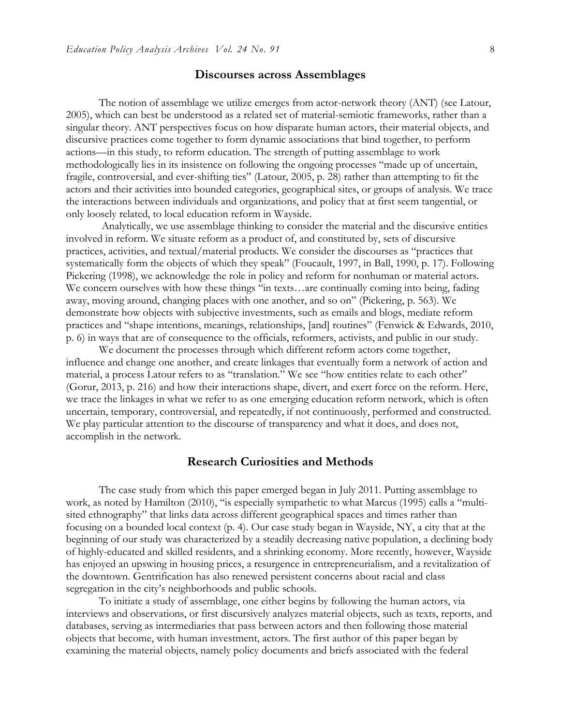## **Discourses across Assemblages**

The notion of assemblage we utilize emerges from actor-network theory (ANT) (see Latour, 2005), which can best be understood as a related set of material-semiotic frameworks, rather than a singular theory. ANT perspectives focus on how disparate human actors, their material objects, and discursive practices come together to form dynamic associations that bind together, to perform actions—in this study, to reform education. The strength of putting assemblage to work methodologically lies in its insistence on following the ongoing processes "made up of uncertain, fragile, controversial, and ever-shifting ties" (Latour, 2005, p. 28) rather than attempting to fit the actors and their activities into bounded categories, geographical sites, or groups of analysis. We trace the interactions between individuals and organizations, and policy that at first seem tangential, or only loosely related, to local education reform in Wayside.

Analytically, we use assemblage thinking to consider the material and the discursive entities involved in reform. We situate reform as a product of, and constituted by, sets of discursive practices, activities, and textual/material products. We consider the discourses as "practices that systematically form the objects of which they speak" (Foucault, 1997, in Ball, 1990, p. 17). Following Pickering (1998), we acknowledge the role in policy and reform for nonhuman or material actors. We concern ourselves with how these things "in texts...are continually coming into being, fading away, moving around, changing places with one another, and so on" (Pickering, p. 563). We demonstrate how objects with subjective investments, such as emails and blogs, mediate reform practices and "shape intentions, meanings, relationships, [and] routines" (Fenwick & Edwards, 2010, p. 6) in ways that are of consequence to the officials, reformers, activists, and public in our study.

We document the processes through which different reform actors come together, influence and change one another, and create linkages that eventually form a network of action and material, a process Latour refers to as "translation." We see "how entities relate to each other" (Gorur, 2013, p. 216) and how their interactions shape, divert, and exert force on the reform. Here, we trace the linkages in what we refer to as one emerging education reform network, which is often uncertain, temporary, controversial, and repeatedly, if not continuously, performed and constructed. We play particular attention to the discourse of transparency and what it does, and does not, accomplish in the network.

## **Research Curiosities and Methods**

The case study from which this paper emerged began in July 2011. Putting assemblage to work, as noted by Hamilton (2010), "is especially sympathetic to what Marcus (1995) calls a "multisited ethnography" that links data across different geographical spaces and times rather than focusing on a bounded local context (p. 4). Our case study began in Wayside, NY, a city that at the beginning of our study was characterized by a steadily decreasing native population, a declining body of highly-educated and skilled residents, and a shrinking economy. More recently, however, Wayside has enjoyed an upswing in housing prices, a resurgence in entrepreneurialism, and a revitalization of the downtown. Gentrification has also renewed persistent concerns about racial and class segregation in the city's neighborhoods and public schools.

To initiate a study of assemblage, one either begins by following the human actors, via interviews and observations, or first discursively analyzes material objects, such as texts, reports, and databases, serving as intermediaries that pass between actors and then following those material objects that become, with human investment, actors. The first author of this paper began by examining the material objects, namely policy documents and briefs associated with the federal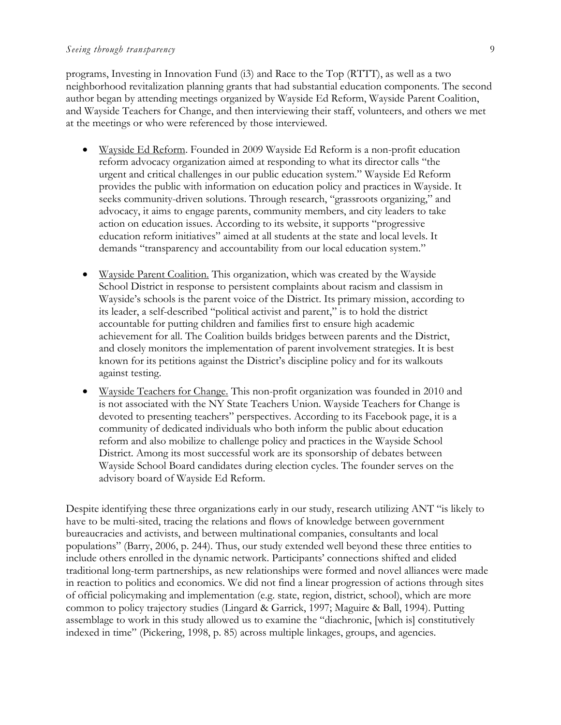### *Seeing through transparency* 9

programs, Investing in Innovation Fund (i3) and Race to the Top (RTTT), as well as a two neighborhood revitalization planning grants that had substantial education components. The second author began by attending meetings organized by Wayside Ed Reform, Wayside Parent Coalition, and Wayside Teachers for Change, and then interviewing their staff, volunteers, and others we met at the meetings or who were referenced by those interviewed.

- Wayside Ed Reform. Founded in 2009 Wayside Ed Reform is a non-profit education reform advocacy organization aimed at responding to what its director calls "the urgent and critical challenges in our public education system." Wayside Ed Reform provides the public with information on education policy and practices in Wayside. It seeks community-driven solutions. Through research, "grassroots organizing," and advocacy, it aims to engage parents, community members, and city leaders to take action on education issues. According to its website, it supports "progressive education reform initiatives" aimed at all students at the state and local levels. It demands "transparency and accountability from our local education system."
- Wayside Parent Coalition. This organization, which was created by the Wayside School District in response to persistent complaints about racism and classism in Wayside's schools is the parent voice of the District. Its primary mission, according to its leader, a self-described "political activist and parent," is to hold the district accountable for putting children and families first to ensure high academic achievement for all. The Coalition builds bridges between parents and the District, and closely monitors the implementation of parent involvement strategies. It is best known for its petitions against the District's discipline policy and for its walkouts against testing.
- Wayside Teachers for Change. This non-profit organization was founded in 2010 and is not associated with the NY State Teachers Union. Wayside Teachers for Change is devoted to presenting teachers" perspectives. According to its Facebook page, it is a community of dedicated individuals who both inform the public about education reform and also mobilize to challenge policy and practices in the Wayside School District. Among its most successful work are its sponsorship of debates between Wayside School Board candidates during election cycles. The founder serves on the advisory board of Wayside Ed Reform.

Despite identifying these three organizations early in our study, research utilizing ANT "is likely to have to be multi-sited, tracing the relations and flows of knowledge between government bureaucracies and activists, and between multinational companies, consultants and local populations" (Barry, 2006, p. 244). Thus, our study extended well beyond these three entities to include others enrolled in the dynamic network. Participants' connections shifted and elided traditional long-term partnerships, as new relationships were formed and novel alliances were made in reaction to politics and economics. We did not find a linear progression of actions through sites of official policymaking and implementation (e.g. state, region, district, school), which are more common to policy trajectory studies (Lingard & Garrick, 1997; Maguire & Ball, 1994). Putting assemblage to work in this study allowed us to examine the "diachronic, [which is] constitutively indexed in time" (Pickering, 1998, p. 85) across multiple linkages, groups, and agencies.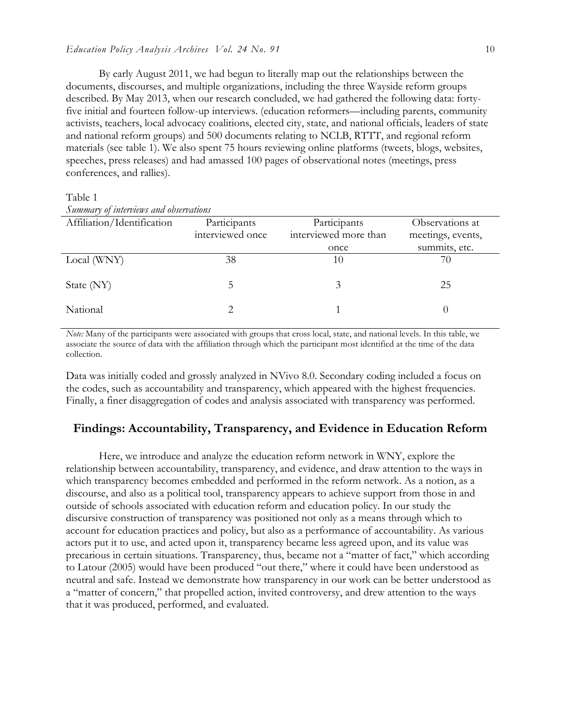By early August 2011, we had begun to literally map out the relationships between the documents, discourses, and multiple organizations, including the three Wayside reform groups described. By May 2013, when our research concluded, we had gathered the following data: fortyfive initial and fourteen follow-up interviews. (education reformers—including parents, community activists, teachers, local advocacy coalitions, elected city, state, and national officials, leaders of state and national reform groups) and 500 documents relating to NCLB, RTTT, and regional reform materials (see table 1). We also spent 75 hours reviewing online platforms (tweets, blogs, websites, speeches, press releases) and had amassed 100 pages of observational notes (meetings, press conferences, and rallies).

Table 1 *Summary of interviews and observations*

| Affiliation/Identification | Participants<br>interviewed once | Participants<br>interviewed more than | Observations at<br>meetings, events, |
|----------------------------|----------------------------------|---------------------------------------|--------------------------------------|
|                            |                                  | once                                  | summits, etc.                        |
| Local (WNY)                | 38                               | 10                                    |                                      |
| State (NY)                 |                                  |                                       | 25                                   |
| National                   |                                  |                                       |                                      |

*Note:* Many of the participants were associated with groups that cross local, state, and national levels. In this table, we associate the source of data with the affiliation through which the participant most identified at the time of the data collection.

Data was initially coded and grossly analyzed in NVivo 8.0. Secondary coding included a focus on the codes, such as accountability and transparency, which appeared with the highest frequencies. Finally, a finer disaggregation of codes and analysis associated with transparency was performed.

# **Findings: Accountability, Transparency, and Evidence in Education Reform**

Here, we introduce and analyze the education reform network in WNY, explore the relationship between accountability, transparency, and evidence, and draw attention to the ways in which transparency becomes embedded and performed in the reform network. As a notion, as a discourse, and also as a political tool, transparency appears to achieve support from those in and outside of schools associated with education reform and education policy. In our study the discursive construction of transparency was positioned not only as a means through which to account for education practices and policy, but also as a performance of accountability. As various actors put it to use, and acted upon it, transparency became less agreed upon, and its value was precarious in certain situations. Transparency, thus, became not a "matter of fact," which according to Latour (2005) would have been produced "out there," where it could have been understood as neutral and safe. Instead we demonstrate how transparency in our work can be better understood as a "matter of concern," that propelled action, invited controversy, and drew attention to the ways that it was produced, performed, and evaluated.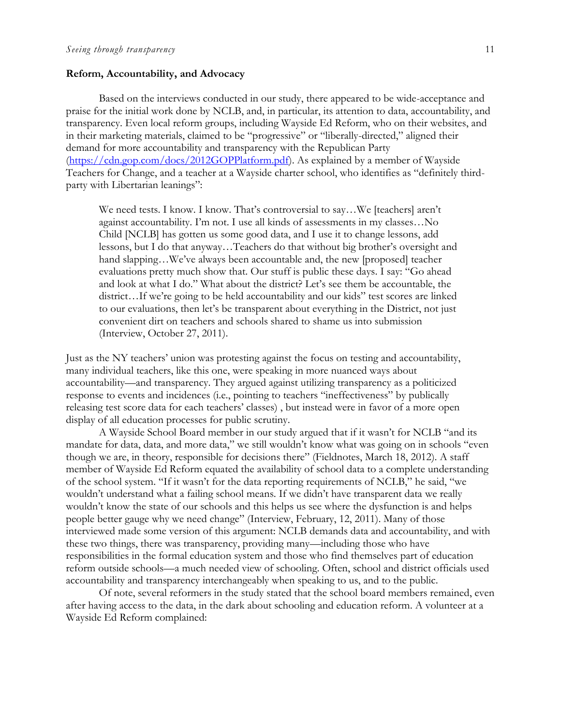#### **Reform, Accountability, and Advocacy**

Based on the interviews conducted in our study, there appeared to be wide-acceptance and praise for the initial work done by NCLB, and, in particular, its attention to data, accountability, and transparency. Even local reform groups, including Wayside Ed Reform, who on their websites, and in their marketing materials, claimed to be "progressive" or "liberally-directed," aligned their demand for more accountability and transparency with the Republican Party [\(https://cdn.gop.com/docs/2012GOPPlatform.pdf\)](https://cdn.gop.com/docs/2012GOPPlatform.pdf). As explained by a member of Wayside Teachers for Change, and a teacher at a Wayside charter school, who identifies as "definitely thirdparty with Libertarian leanings":

We need tests. I know. I know. That's controversial to say…We [teachers] aren't against accountability. I'm not. I use all kinds of assessments in my classes…No Child [NCLB] has gotten us some good data, and I use it to change lessons, add lessons, but I do that anyway…Teachers do that without big brother's oversight and hand slapping...We've always been accountable and, the new [proposed] teacher evaluations pretty much show that. Our stuff is public these days. I say: "Go ahead and look at what I do." What about the district? Let's see them be accountable, the district…If we're going to be held accountability and our kids" test scores are linked to our evaluations, then let's be transparent about everything in the District, not just convenient dirt on teachers and schools shared to shame us into submission (Interview, October 27, 2011).

Just as the NY teachers' union was protesting against the focus on testing and accountability, many individual teachers, like this one, were speaking in more nuanced ways about accountability—and transparency. They argued against utilizing transparency as a politicized response to events and incidences (i.e., pointing to teachers "ineffectiveness" by publically releasing test score data for each teachers' classes) , but instead were in favor of a more open display of all education processes for public scrutiny.

A Wayside School Board member in our study argued that if it wasn't for NCLB "and its mandate for data, data, and more data," we still wouldn't know what was going on in schools "even though we are, in theory, responsible for decisions there" (Fieldnotes, March 18, 2012). A staff member of Wayside Ed Reform equated the availability of school data to a complete understanding of the school system. "If it wasn't for the data reporting requirements of NCLB," he said, "we wouldn't understand what a failing school means. If we didn't have transparent data we really wouldn't know the state of our schools and this helps us see where the dysfunction is and helps people better gauge why we need change" (Interview, February, 12, 2011). Many of those interviewed made some version of this argument: NCLB demands data and accountability, and with these two things, there was transparency, providing many—including those who have responsibilities in the formal education system and those who find themselves part of education reform outside schools—a much needed view of schooling. Often, school and district officials used accountability and transparency interchangeably when speaking to us, and to the public.

Of note, several reformers in the study stated that the school board members remained, even after having access to the data, in the dark about schooling and education reform. A volunteer at a Wayside Ed Reform complained: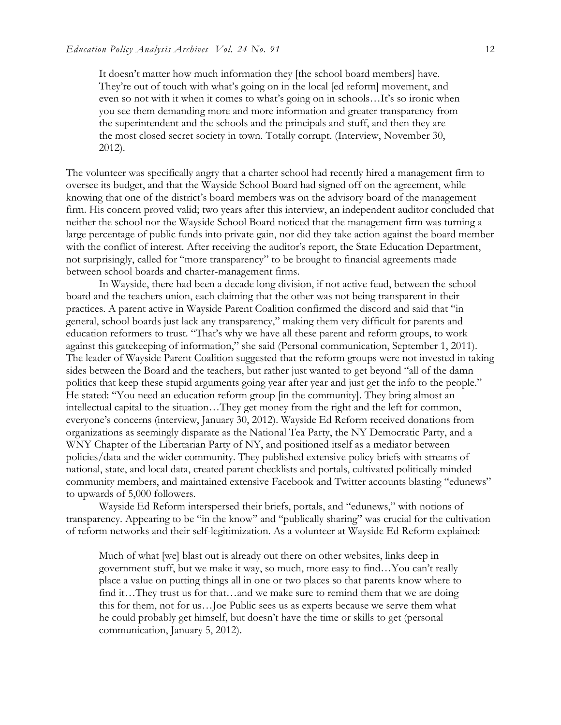It doesn't matter how much information they [the school board members] have. They're out of touch with what's going on in the local [ed reform] movement, and even so not with it when it comes to what's going on in schools…It's so ironic when you see them demanding more and more information and greater transparency from the superintendent and the schools and the principals and stuff, and then they are the most closed secret society in town. Totally corrupt. (Interview, November 30, 2012).

The volunteer was specifically angry that a charter school had recently hired a management firm to oversee its budget, and that the Wayside School Board had signed off on the agreement, while knowing that one of the district's board members was on the advisory board of the management firm. His concern proved valid; two years after this interview, an independent auditor concluded that neither the school nor the Wayside School Board noticed that the management firm was turning a large percentage of public funds into private gain, nor did they take action against the board member with the conflict of interest. After receiving the auditor's report, the State Education Department, not surprisingly, called for "more transparency" to be brought to financial agreements made between school boards and charter-management firms.

In Wayside, there had been a decade long division, if not active feud, between the school board and the teachers union, each claiming that the other was not being transparent in their practices. A parent active in Wayside Parent Coalition confirmed the discord and said that "in general, school boards just lack any transparency," making them very difficult for parents and education reformers to trust. "That's why we have all these parent and reform groups, to work against this gatekeeping of information," she said (Personal communication, September 1, 2011). The leader of Wayside Parent Coalition suggested that the reform groups were not invested in taking sides between the Board and the teachers, but rather just wanted to get beyond "all of the damn politics that keep these stupid arguments going year after year and just get the info to the people." He stated: "You need an education reform group [in the community]. They bring almost an intellectual capital to the situation…They get money from the right and the left for common, everyone's concerns (interview, January 30, 2012). Wayside Ed Reform received donations from organizations as seemingly disparate as the National Tea Party, the NY Democratic Party, and a WNY Chapter of the Libertarian Party of NY, and positioned itself as a mediator between policies/data and the wider community. They published extensive policy briefs with streams of national, state, and local data, created parent checklists and portals, cultivated politically minded community members, and maintained extensive Facebook and Twitter accounts blasting "edunews" to upwards of 5,000 followers.

Wayside Ed Reform interspersed their briefs, portals, and "edunews," with notions of transparency. Appearing to be "in the know" and "publically sharing" was crucial for the cultivation of reform networks and their self-legitimization. As a volunteer at Wayside Ed Reform explained:

Much of what [we] blast out is already out there on other websites, links deep in government stuff, but we make it way, so much, more easy to find…You can't really place a value on putting things all in one or two places so that parents know where to find it…They trust us for that…and we make sure to remind them that we are doing this for them, not for us…Joe Public sees us as experts because we serve them what he could probably get himself, but doesn't have the time or skills to get (personal communication, January 5, 2012).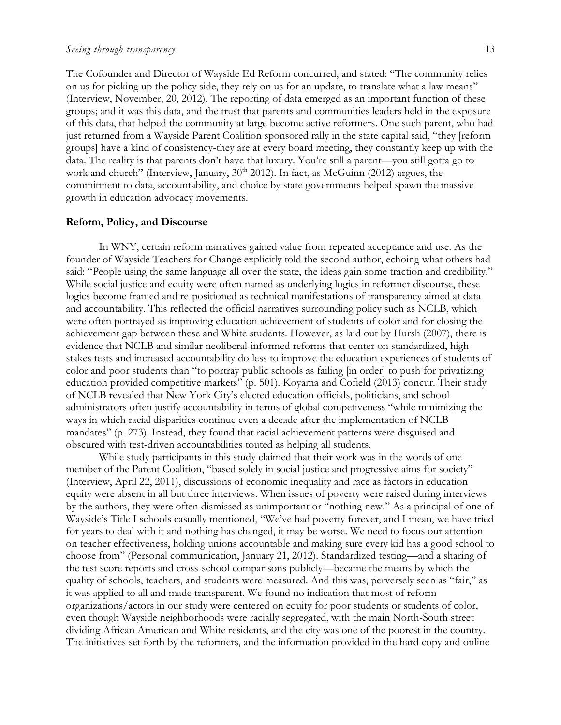#### *Seeing through transparency* 13

The Cofounder and Director of Wayside Ed Reform concurred, and stated: "The community relies on us for picking up the policy side, they rely on us for an update, to translate what a law means" (Interview, November, 20, 2012). The reporting of data emerged as an important function of these groups; and it was this data, and the trust that parents and communities leaders held in the exposure of this data, that helped the community at large become active reformers. One such parent, who had just returned from a Wayside Parent Coalition sponsored rally in the state capital said, "they [reform groups] have a kind of consistency-they are at every board meeting, they constantly keep up with the data. The reality is that parents don't have that luxury. You're still a parent—you still gotta go to work and church" (Interview, January,  $30<sup>th</sup> 2012$ ). In fact, as McGuinn (2012) argues, the commitment to data, accountability, and choice by state governments helped spawn the massive growth in education advocacy movements.

#### **Reform, Policy, and Discourse**

In WNY, certain reform narratives gained value from repeated acceptance and use. As the founder of Wayside Teachers for Change explicitly told the second author, echoing what others had said: "People using the same language all over the state, the ideas gain some traction and credibility." While social justice and equity were often named as underlying logics in reformer discourse, these logics become framed and re-positioned as technical manifestations of transparency aimed at data and accountability. This reflected the official narratives surrounding policy such as NCLB, which were often portrayed as improving education achievement of students of color and for closing the achievement gap between these and White students. However, as laid out by Hursh (2007), there is evidence that NCLB and similar neoliberal-informed reforms that center on standardized, highstakes tests and increased accountability do less to improve the education experiences of students of color and poor students than "to portray public schools as failing [in order] to push for privatizing education provided competitive markets" (p. 501). Koyama and Cofield (2013) concur. Their study of NCLB revealed that New York City's elected education officials, politicians, and school administrators often justify accountability in terms of global competiveness "while minimizing the ways in which racial disparities continue even a decade after the implementation of NCLB mandates" (p. 273). Instead, they found that racial achievement patterns were disguised and obscured with test-driven accountabilities touted as helping all students.

While study participants in this study claimed that their work was in the words of one member of the Parent Coalition, "based solely in social justice and progressive aims for society" (Interview, April 22, 2011), discussions of economic inequality and race as factors in education equity were absent in all but three interviews. When issues of poverty were raised during interviews by the authors, they were often dismissed as unimportant or "nothing new." As a principal of one of Wayside's Title I schools casually mentioned, "We've had poverty forever, and I mean, we have tried for years to deal with it and nothing has changed, it may be worse. We need to focus our attention on teacher effectiveness, holding unions accountable and making sure every kid has a good school to choose from" (Personal communication, January 21, 2012). Standardized testing—and a sharing of the test score reports and cross-school comparisons publicly—became the means by which the quality of schools, teachers, and students were measured. And this was, perversely seen as "fair," as it was applied to all and made transparent. We found no indication that most of reform organizations/actors in our study were centered on equity for poor students or students of color, even though Wayside neighborhoods were racially segregated, with the main North-South street dividing African American and White residents, and the city was one of the poorest in the country. The initiatives set forth by the reformers, and the information provided in the hard copy and online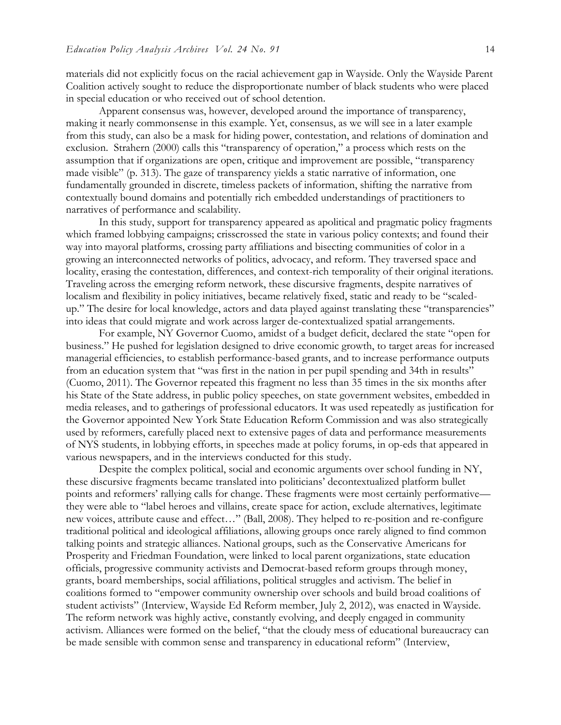materials did not explicitly focus on the racial achievement gap in Wayside. Only the Wayside Parent Coalition actively sought to reduce the disproportionate number of black students who were placed in special education or who received out of school detention.

Apparent consensus was, however, developed around the importance of transparency, making it nearly commonsense in this example. Yet, consensus, as we will see in a later example from this study, can also be a mask for hiding power, contestation, and relations of domination and exclusion. Strahern (2000) calls this "transparency of operation," a process which rests on the assumption that if organizations are open, critique and improvement are possible, "transparency made visible" (p. 313). The gaze of transparency yields a static narrative of information, one fundamentally grounded in discrete, timeless packets of information, shifting the narrative from contextually bound domains and potentially rich embedded understandings of practitioners to narratives of performance and scalability.

In this study, support for transparency appeared as apolitical and pragmatic policy fragments which framed lobbying campaigns; crisscrossed the state in various policy contexts; and found their way into mayoral platforms, crossing party affiliations and bisecting communities of color in a growing an interconnected networks of politics, advocacy, and reform. They traversed space and locality, erasing the contestation, differences, and context-rich temporality of their original iterations. Traveling across the emerging reform network, these discursive fragments, despite narratives of localism and flexibility in policy initiatives, became relatively fixed, static and ready to be "scaledup." The desire for local knowledge, actors and data played against translating these "transparencies" into ideas that could migrate and work across larger de-contextualized spatial arrangements.

For example, NY Governor Cuomo, amidst of a budget deficit, declared the state "open for business." He pushed for legislation designed to drive economic growth, to target areas for increased managerial efficiencies, to establish performance-based grants, and to increase performance outputs from an education system that "was first in the nation in per pupil spending and 34th in results" (Cuomo, 2011). The Governor repeated this fragment no less than 35 times in the six months after his State of the State address, in public policy speeches, on state government websites, embedded in media releases, and to gatherings of professional educators. It was used repeatedly as justification for the Governor appointed New York State Education Reform Commission and was also strategically used by reformers, carefully placed next to extensive pages of data and performance measurements of NYS students, in lobbying efforts, in speeches made at policy forums, in op-eds that appeared in various newspapers, and in the interviews conducted for this study.

Despite the complex political, social and economic arguments over school funding in NY, these discursive fragments became translated into politicians' decontextualized platform bullet points and reformers' rallying calls for change. These fragments were most certainly performative they were able to "label heroes and villains, create space for action, exclude alternatives, legitimate new voices, attribute cause and effect…" (Ball, 2008). They helped to re-position and re-configure traditional political and ideological affiliations, allowing groups once rarely aligned to find common talking points and strategic alliances. National groups, such as the Conservative Americans for Prosperity and Friedman Foundation, were linked to local parent organizations, state education officials, progressive community activists and Democrat-based reform groups through money, grants, board memberships, social affiliations, political struggles and activism. The belief in coalitions formed to "empower community ownership over schools and build broad coalitions of student activists" (Interview, Wayside Ed Reform member, July 2, 2012), was enacted in Wayside. The reform network was highly active, constantly evolving, and deeply engaged in community activism. Alliances were formed on the belief, "that the cloudy mess of educational bureaucracy can be made sensible with common sense and transparency in educational reform" (Interview,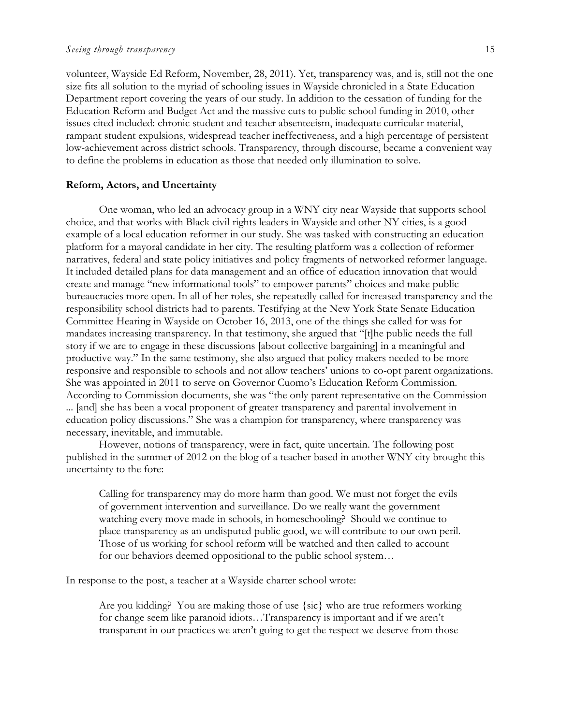volunteer, Wayside Ed Reform, November, 28, 2011). Yet, transparency was, and is, still not the one size fits all solution to the myriad of schooling issues in Wayside chronicled in a State Education Department report covering the years of our study. In addition to the cessation of funding for the Education Reform and Budget Act and the massive cuts to public school funding in 2010, other issues cited included: chronic student and teacher absenteeism, inadequate curricular material, rampant student expulsions, widespread teacher ineffectiveness, and a high percentage of persistent low-achievement across district schools. Transparency, through discourse, became a convenient way to define the problems in education as those that needed only illumination to solve.

#### **Reform, Actors, and Uncertainty**

One woman, who led an advocacy group in a WNY city near Wayside that supports school choice, and that works with Black civil rights leaders in Wayside and other NY cities, is a good example of a local education reformer in our study. She was tasked with constructing an education platform for a mayoral candidate in her city. The resulting platform was a collection of reformer narratives, federal and state policy initiatives and policy fragments of networked reformer language. It included detailed plans for data management and an office of education innovation that would create and manage "new informational tools" to empower parents" choices and make public bureaucracies more open. In all of her roles, she repeatedly called for increased transparency and the responsibility school districts had to parents. Testifying at the New York State Senate Education Committee Hearing in Wayside on October 16, 2013, one of the things she called for was for mandates increasing transparency. In that testimony, she argued that "[t]he public needs the full story if we are to engage in these discussions [about collective bargaining] in a meaningful and productive way." In the same testimony, she also argued that policy makers needed to be more responsive and responsible to schools and not allow teachers' unions to co-opt parent organizations. She was appointed in 2011 to serve on Governor Cuomo's Education Reform Commission. According to Commission documents, she was "the only parent representative on the Commission ... [and] she has been a vocal proponent of greater transparency and parental involvement in education policy discussions." She was a champion for transparency, where transparency was necessary, inevitable, and immutable.

However, notions of transparency, were in fact, quite uncertain. The following post published in the summer of 2012 on the blog of a teacher based in another WNY city brought this uncertainty to the fore:

Calling for transparency may do more harm than good. We must not forget the evils of government intervention and surveillance. Do we really want the government watching every move made in schools, in homeschooling? Should we continue to place transparency as an undisputed public good, we will contribute to our own peril. Those of us working for school reform will be watched and then called to account for our behaviors deemed oppositional to the public school system…

In response to the post, a teacher at a Wayside charter school wrote:

Are you kidding? You are making those of use {sic} who are true reformers working for change seem like paranoid idiots…Transparency is important and if we aren't transparent in our practices we aren't going to get the respect we deserve from those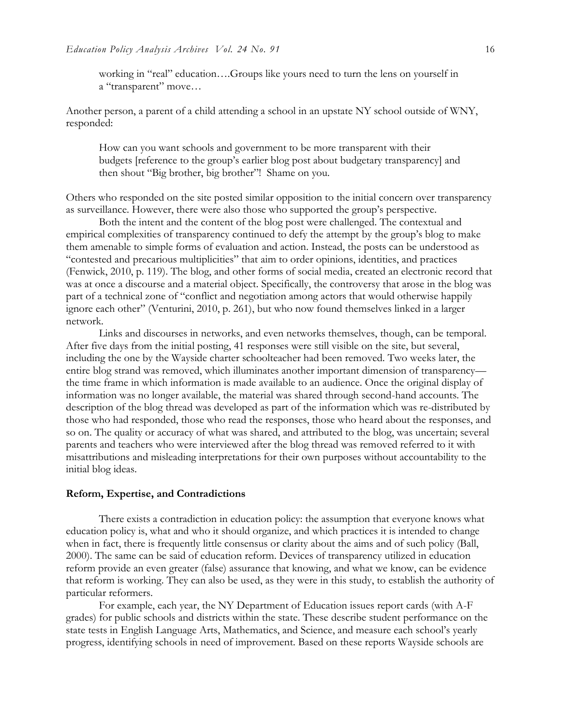working in "real" education….Groups like yours need to turn the lens on yourself in a "transparent" move…

Another person, a parent of a child attending a school in an upstate NY school outside of WNY, responded:

How can you want schools and government to be more transparent with their budgets [reference to the group's earlier blog post about budgetary transparency] and then shout "Big brother, big brother"! Shame on you.

Others who responded on the site posted similar opposition to the initial concern over transparency as surveillance. However, there were also those who supported the group's perspective.

Both the intent and the content of the blog post were challenged. The contextual and empirical complexities of transparency continued to defy the attempt by the group's blog to make them amenable to simple forms of evaluation and action. Instead, the posts can be understood as "contested and precarious multiplicities" that aim to order opinions, identities, and practices (Fenwick, 2010, p. 119). The blog, and other forms of social media, created an electronic record that was at once a discourse and a material object. Specifically, the controversy that arose in the blog was part of a technical zone of "conflict and negotiation among actors that would otherwise happily ignore each other" (Venturini, 2010, p. 261), but who now found themselves linked in a larger network.

Links and discourses in networks, and even networks themselves, though, can be temporal. After five days from the initial posting, 41 responses were still visible on the site, but several, including the one by the Wayside charter schoolteacher had been removed. Two weeks later, the entire blog strand was removed, which illuminates another important dimension of transparency the time frame in which information is made available to an audience. Once the original display of information was no longer available, the material was shared through second-hand accounts. The description of the blog thread was developed as part of the information which was re-distributed by those who had responded, those who read the responses, those who heard about the responses, and so on. The quality or accuracy of what was shared, and attributed to the blog, was uncertain; several parents and teachers who were interviewed after the blog thread was removed referred to it with misattributions and misleading interpretations for their own purposes without accountability to the initial blog ideas.

#### **Reform, Expertise, and Contradictions**

There exists a contradiction in education policy: the assumption that everyone knows what education policy is, what and who it should organize, and which practices it is intended to change when in fact, there is frequently little consensus or clarity about the aims and of such policy (Ball, 2000). The same can be said of education reform. Devices of transparency utilized in education reform provide an even greater (false) assurance that knowing, and what we know, can be evidence that reform is working. They can also be used, as they were in this study, to establish the authority of particular reformers.

For example, each year, the NY Department of Education issues report cards (with A-F grades) for public schools and districts within the state. These describe student performance on the state tests in English Language Arts, Mathematics, and Science, and measure each school's yearly progress, identifying schools in need of improvement. Based on these reports Wayside schools are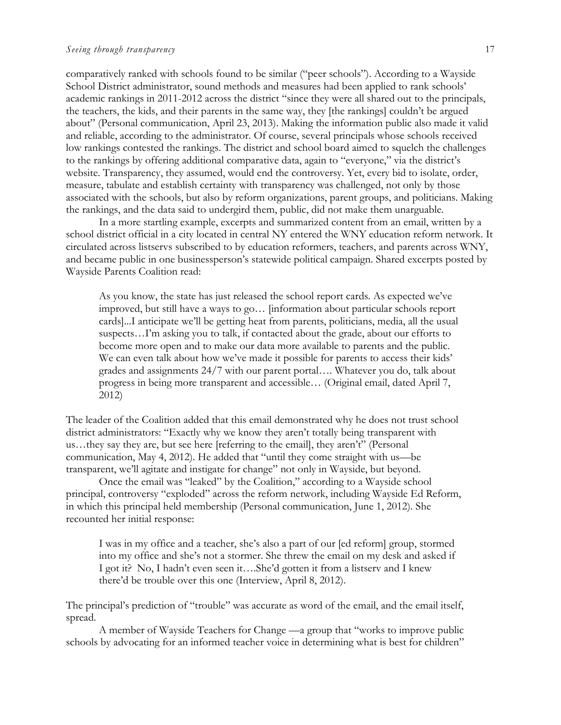comparatively ranked with schools found to be similar ("peer schools"). According to a Wayside School District administrator, sound methods and measures had been applied to rank schools' academic rankings in 2011-2012 across the district "since they were all shared out to the principals, the teachers, the kids, and their parents in the same way, they [the rankings] couldn't be argued about" (Personal communication, April 23, 2013). Making the information public also made it valid and reliable, according to the administrator. Of course, several principals whose schools received low rankings contested the rankings. The district and school board aimed to squelch the challenges to the rankings by offering additional comparative data, again to "everyone," via the district's website. Transparency, they assumed, would end the controversy. Yet, every bid to isolate, order, measure, tabulate and establish certainty with transparency was challenged, not only by those associated with the schools, but also by reform organizations, parent groups, and politicians. Making the rankings, and the data said to undergird them, public, did not make them unarguable.

In a more startling example, excerpts and summarized content from an email, written by a school district official in a city located in central NY entered the WNY education reform network. It circulated across listservs subscribed to by education reformers, teachers, and parents across WNY, and became public in one businessperson's statewide political campaign. Shared excerpts posted by Wayside Parents Coalition read:

As you know, the state has just released the school report cards. As expected we've improved, but still have a ways to go… [information about particular schools report cards]...I anticipate we'll be getting heat from parents, politicians, media, all the usual suspects…I'm asking you to talk, if contacted about the grade, about our efforts to become more open and to make our data more available to parents and the public. We can even talk about how we've made it possible for parents to access their kids' grades and assignments 24/7 with our parent portal…. Whatever you do, talk about progress in being more transparent and accessible… (Original email, dated April 7, 2012)

The leader of the Coalition added that this email demonstrated why he does not trust school district administrators: "Exactly why we know they aren't totally being transparent with us…they say they are, but see here [referring to the email], they aren't" (Personal communication, May 4, 2012). He added that "until they come straight with us—be transparent, we'll agitate and instigate for change" not only in Wayside, but beyond.

Once the email was "leaked" by the Coalition," according to a Wayside school principal, controversy "exploded" across the reform network, including Wayside Ed Reform, in which this principal held membership (Personal communication, June 1, 2012). She recounted her initial response:

I was in my office and a teacher, she's also a part of our [ed reform] group, stormed into my office and she's not a stormer. She threw the email on my desk and asked if I got it? No, I hadn't even seen it….She'd gotten it from a listserv and I knew there'd be trouble over this one (Interview, April 8, 2012).

The principal's prediction of "trouble" was accurate as word of the email, and the email itself, spread.

A member of Wayside Teachers for Change —a group that "works to improve public schools by advocating for an informed teacher voice in determining what is best for children"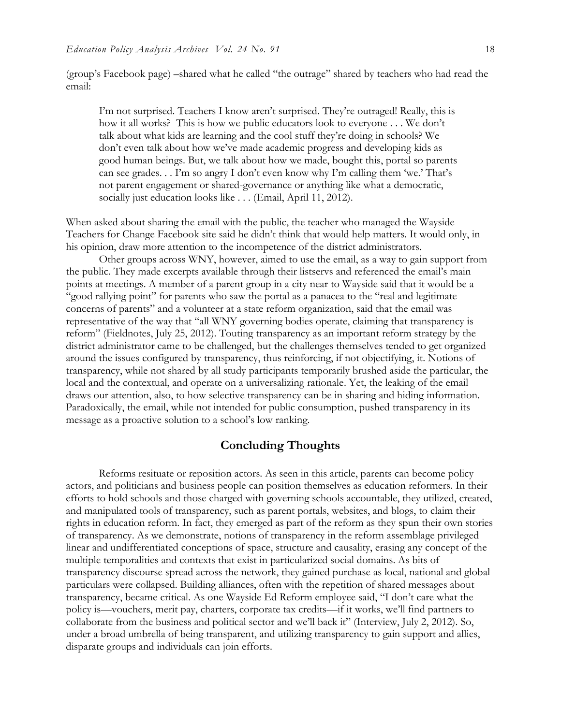(group's Facebook page) –shared what he called "the outrage" shared by teachers who had read the email:

I'm not surprised. Teachers I know aren't surprised. They're outraged! Really, this is how it all works? This is how we public educators look to everyone . . . We don't talk about what kids are learning and the cool stuff they're doing in schools? We don't even talk about how we've made academic progress and developing kids as good human beings. But, we talk about how we made, bought this, portal so parents can see grades. . . I'm so angry I don't even know why I'm calling them 'we.' That's not parent engagement or shared-governance or anything like what a democratic, socially just education looks like . . . (Email, April 11, 2012).

When asked about sharing the email with the public, the teacher who managed the Wayside Teachers for Change Facebook site said he didn't think that would help matters. It would only, in his opinion, draw more attention to the incompetence of the district administrators.

Other groups across WNY, however, aimed to use the email, as a way to gain support from the public. They made excerpts available through their listservs and referenced the email's main points at meetings. A member of a parent group in a city near to Wayside said that it would be a "good rallying point" for parents who saw the portal as a panacea to the "real and legitimate concerns of parents" and a volunteer at a state reform organization, said that the email was representative of the way that "all WNY governing bodies operate, claiming that transparency is reform" (Fieldnotes, July 25, 2012). Touting transparency as an important reform strategy by the district administrator came to be challenged, but the challenges themselves tended to get organized around the issues configured by transparency, thus reinforcing, if not objectifying, it. Notions of transparency, while not shared by all study participants temporarily brushed aside the particular, the local and the contextual, and operate on a universalizing rationale. Yet, the leaking of the email draws our attention, also, to how selective transparency can be in sharing and hiding information. Paradoxically, the email, while not intended for public consumption, pushed transparency in its message as a proactive solution to a school's low ranking.

# **Concluding Thoughts**

Reforms resituate or reposition actors. As seen in this article, parents can become policy actors, and politicians and business people can position themselves as education reformers. In their efforts to hold schools and those charged with governing schools accountable, they utilized, created, and manipulated tools of transparency, such as parent portals, websites, and blogs, to claim their rights in education reform. In fact, they emerged as part of the reform as they spun their own stories of transparency. As we demonstrate, notions of transparency in the reform assemblage privileged linear and undifferentiated conceptions of space, structure and causality, erasing any concept of the multiple temporalities and contexts that exist in particularized social domains. As bits of transparency discourse spread across the network, they gained purchase as local, national and global particulars were collapsed. Building alliances, often with the repetition of shared messages about transparency, became critical. As one Wayside Ed Reform employee said, "I don't care what the policy is—vouchers, merit pay, charters, corporate tax credits—if it works, we'll find partners to collaborate from the business and political sector and we'll back it" (Interview, July 2, 2012). So, under a broad umbrella of being transparent, and utilizing transparency to gain support and allies, disparate groups and individuals can join efforts.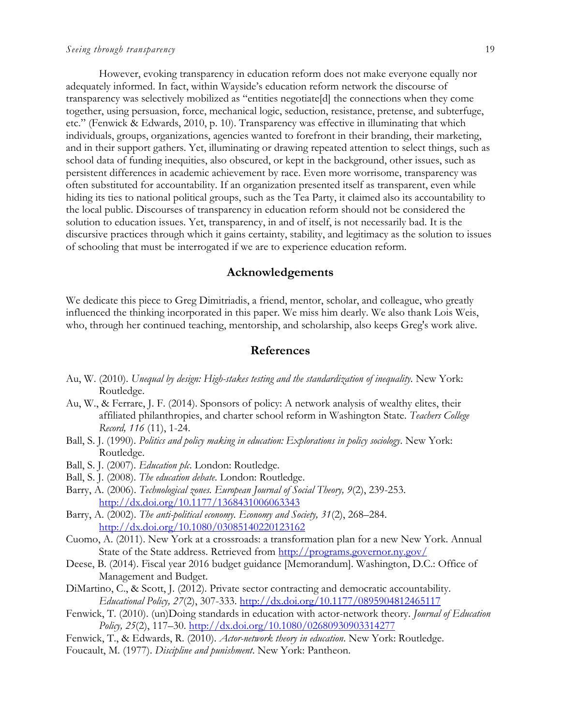### *Seeing through transparency* 19

However, evoking transparency in education reform does not make everyone equally nor adequately informed. In fact, within Wayside's education reform network the discourse of transparency was selectively mobilized as "entities negotiate[d] the connections when they come together, using persuasion, force, mechanical logic, seduction, resistance, pretense, and subterfuge, etc." (Fenwick & Edwards, 2010, p. 10). Transparency was effective in illuminating that which individuals, groups, organizations, agencies wanted to forefront in their branding, their marketing, and in their support gathers. Yet, illuminating or drawing repeated attention to select things, such as school data of funding inequities, also obscured, or kept in the background, other issues, such as persistent differences in academic achievement by race. Even more worrisome, transparency was often substituted for accountability. If an organization presented itself as transparent, even while hiding its ties to national political groups, such as the Tea Party, it claimed also its accountability to the local public. Discourses of transparency in education reform should not be considered the solution to education issues. Yet, transparency, in and of itself, is not necessarily bad. It is the discursive practices through which it gains certainty, stability, and legitimacy as the solution to issues of schooling that must be interrogated if we are to experience education reform.

## **Acknowledgements**

We dedicate this piece to Greg Dimitriadis, a friend, mentor, scholar, and colleague, who greatly influenced the thinking incorporated in this paper. We miss him dearly. We also thank Lois Weis, who, through her continued teaching, mentorship, and scholarship, also keeps Greg's work alive.

## **References**

- Au, W. (2010). *Unequal by design: High-stakes testing and the standardization of inequality.* New York: Routledge.
- Au, W., & Ferrare, J. F. (2014). Sponsors of policy: A network analysis of wealthy elites, their affiliated philanthropies, and charter school reform in Washington State. *Teachers College Record, 116* (11), 1-24.
- Ball, S. J. (1990). *Politics and policy making in education: Explorations in policy sociology*. New York: Routledge.
- Ball, S. J. (2007). *Education plc*. London: Routledge.
- Ball, S. J. (2008). *The education debate*. London: Routledge.
- Barry, A. (2006). *Technological zones. European Journal of Social Theory, 9*(2), 239-253. <http://dx.doi.org/10.1177/1368431006063343>
- Barry, A. (2002). *The anti-political economy. Economy and Society, 31*(2), 268–284. <http://dx.doi.org/10.1080/03085140220123162>
- Cuomo, A. (2011). New York at a crossroads: a transformation plan for a new New York. Annual State of the State address. Retrieved from<http://programs.governor.ny.gov/>
- Deese, B. (2014). Fiscal year 2016 budget guidance [Memorandum]. Washington, D.C.: Office of Management and Budget.
- DiMartino, C., & Scott, J. (2012). Private sector contracting and democratic accountability. *Educational Policy, 27*(2), 307-333.<http://dx.doi.org/10.1177/0895904812465117>
- Fenwick, T. (2010). (un)Doing standards in education with actor-network theory. *Journal of Education Policy, 25*(2), 117–30.<http://dx.doi.org/10.1080/02680930903314277>
- Fenwick, T., & Edwards, R. (2010). *Actor-network theory in education*. New York: Routledge.
- Foucault, M. (1977). *Discipline and punishment*. New York: Pantheon.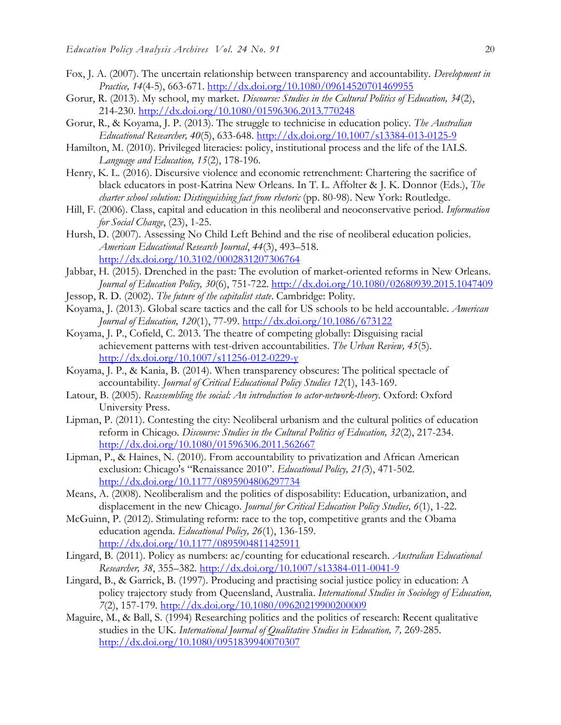- Fox, J. A. (2007). The uncertain relationship between transparency and accountability. *Development in Practice, 14*(4-5), 663-671. <http://dx.doi.org/10.1080/09614520701469955>
- Gorur, R. (2013). My school, my market. *Discourse: Studies in the Cultural Politics of Education, 34*(2), 214-230.<http://dx.doi.org/10.1080/01596306.2013.770248>
- Gorur, R., & Koyama, J. P. (2013). The struggle to technicise in education policy. *The Australian Educational Researcher, 40*(5), 633-648.<http://dx.doi.org/10.1007/s13384-013-0125-9>
- Hamilton, M. (2010). Privileged literacies: policy, institutional process and the life of the IALS. *Language and Education, 15*(2), 178-196.
- Henry, K. L. (2016). Discursive violence and economic retrenchment: Chartering the sacrifice of black educators in post-Katrina New Orleans. In T. L. Affolter & J. K. Donnor (Eds.), *The charter school solution: Distinguishing fact from rhetoric* (pp. 80-98). New York: Routledge.
- Hill, F. (2006). Class, capital and education in this neoliberal and neoconservative period. *Information for Social Change*, (23), 1-25.
- Hursh, D. (2007). Assessing No Child Left Behind and the rise of neoliberal education policies. *American Educational Research Journal*, *44*(3), 493–518. <http://dx.doi.org/10.3102/0002831207306764>
- Jabbar, H. (2015). Drenched in the past: The evolution of market-oriented reforms in New Orleans. *Journal of Education Policy, 30*(6), 751-722.<http://dx.doi.org/10.1080/02680939.2015.1047409>
- Jessop, R. D. (2002). *The future of the capitalist state*. Cambridge: Polity.
- Koyama, J. (2013). Global scare tactics and the call for US schools to be held accountable. *American Journal of Education, 120*(1), 77-99.<http://dx.doi.org/10.1086/673122>
- Koyama, J. P., Cofield, C. 2013. The theatre of competing globally: Disguising racial achievement patterns with test-driven accountabilities. *The Urban Review, 45*(5). <http://dx.doi.org/10.1007/s11256-012-0229-y>
- Koyama, J. P., & Kania, B. (2014). When transparency obscures: The political spectacle of accountability. *Journal of Critical Educational Policy Studies 12*(1), 143-169.
- Latour, B. (2005). *Reassembling the social: An introduction to actor-network-theory*. Oxford: Oxford University Press.
- Lipman, P. (2011). Contesting the city: Neoliberal urbanism and the cultural politics of education reform in Chicago. *Discourse: Studies in the Cultural Politics of Education, 32*(2), 217-234. <http://dx.doi.org/10.1080/01596306.2011.562667>
- Lipman, P., & Haines, N. (2010). From accountability to privatization and African American exclusion: Chicago's "Renaissance 2010". *Educational Policy, 21(*3), 471-502. <http://dx.doi.org/10.1177/0895904806297734>
- Means, A. (2008). Neoliberalism and the politics of disposability: Education, urbanization, and displacement in the new Chicago. *Journal for Critical Education Policy Studies, 6*(1), 1-22.
- McGuinn, P. (2012). Stimulating reform: race to the top, competitive grants and the Obama education agenda. *Educational Policy, 26*(1), 136-159. <http://dx.doi.org/10.1177/0895904811425911>
- Lingard, B. (2011). Policy as numbers: ac/counting for educational research. *Australian Educational Researcher, 38*, 355–382.<http://dx.doi.org/10.1007/s13384-011-0041-9>
- Lingard, B., & Garrick, B. (1997). Producing and practising social justice policy in education: A policy trajectory study from Queensland, Australia. *International Studies in Sociology of Education, 7*(2), 157-179.<http://dx.doi.org/10.1080/09620219900200009>
- Maguire, M., & Ball, S. (1994) Researching politics and the politics of research: Recent qualitative studies in the UK. *International Journal of Qualitative Studies in Education, 7,* 269-285. <http://dx.doi.org/10.1080/0951839940070307>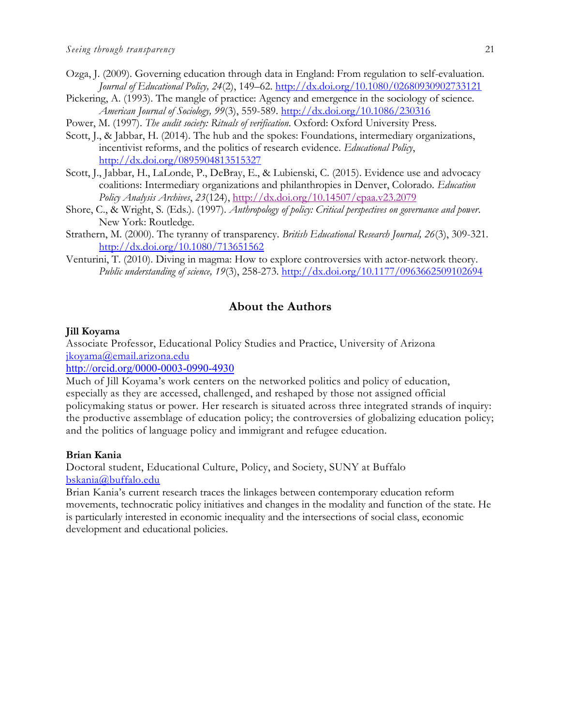- Ozga, J. (2009). Governing education through data in England: From regulation to self-evaluation. *Journal of Educational Policy, 24*(2), 149–62.<http://dx.doi.org/10.1080/02680930902733121>
- Pickering, A. (1993). The mangle of practice: Agency and emergence in the sociology of science. *American Journal of Sociology, 99*(3), 559-589.<http://dx.doi.org/10.1086/230316>
- Power, M. (1997). *The audit society: Rituals of verification*. Oxford: Oxford University Press.
- Scott, J., & Jabbar, H. (2014). The hub and the spokes: Foundations, intermediary organizations, incentivist reforms, and the politics of research evidence. *Educational Policy*, <http://dx.doi.org/0895904813515327>
- Scott, J., Jabbar, H., LaLonde, P., DeBray, E., & Lubienski, C. (2015). Evidence use and advocacy coalitions: Intermediary organizations and philanthropies in Denver, Colorado. *Education Policy Analysis Archives*, *23*(124),<http://dx.doi.org/10.14507/epaa.v23.2079>
- Shore, C., & Wright, S. (Eds.). (1997). *Anthropology of policy: Critical perspectives on governance and power*. New York: Routledge.
- Strathern, M. (2000). The tyranny of transparency. *British Educational Research Journal, 26*(3), 309-321. <http://dx.doi.org/10.1080/713651562>
- Venturini, T. (2010). Diving in magma: How to explore controversies with actor-network theory. *Public understanding of science, 19*(3), 258-273.<http://dx.doi.org/10.1177/0963662509102694>

# **About the Authors**

#### **Jill Koyama**

Associate Professor, Educational Policy Studies and Practice, University of Arizona [jkoyama@email.arizona.edu](mailto:jkoyama@email.arizona.edu)

### <http://orcid.org/0000-0003-0990-4930>

Much of Jill Koyama's work centers on the networked politics and policy of education, especially as they are accessed, challenged, and reshaped by those not assigned official policymaking status or power. Her research is situated across three integrated strands of inquiry: the productive assemblage of education policy; the controversies of globalizing education policy; and the politics of language policy and immigrant and refugee education.

## **Brian Kania**

Doctoral student, Educational Culture, Policy, and Society, SUNY at Buffalo [bskania@buffalo.edu](mailto:bskania@buffalo.edu)

Brian Kania's current research traces the linkages between contemporary education reform movements, technocratic policy initiatives and changes in the modality and function of the state. He is particularly interested in economic inequality and the intersections of social class, economic development and educational policies.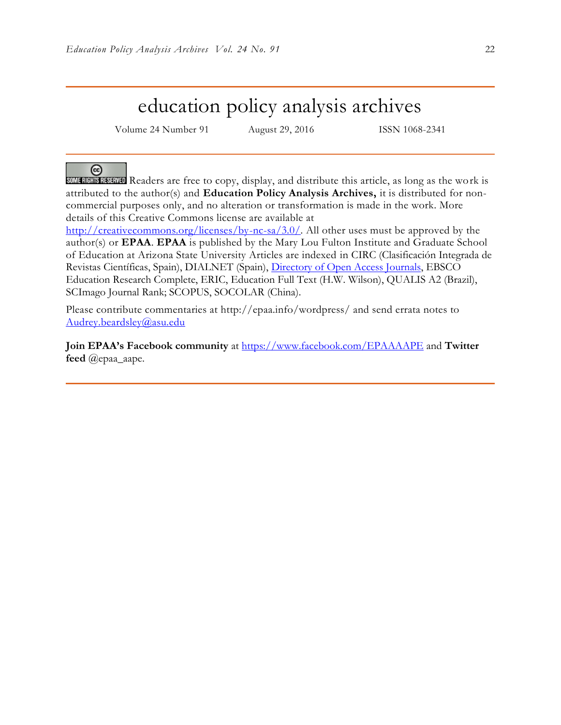# education policy analysis archives

Volume 24 Number 91 August 29, 2016 ISSN 1068-2341

## ര

SOME RIGHTS RESERVED Readers are free to copy, display, and distribute this article, as long as the work is attributed to the author(s) and **Education Policy Analysis Archives,** it is distributed for noncommercial purposes only, and no alteration or transformation is made in the work. More details of this Creative Commons license are available at

[http://creativecommons.org/licenses/by-nc-sa/3.0/.](http://creativecommons.org/licenses/by-nc-sa/3.0/) All other uses must be approved by the author(s) or **EPAA**. **EPAA** is published by the Mary Lou Fulton Institute and Graduate School of Education at Arizona State University Articles are indexed in CIRC (Clasificación Integrada de Revistas Científicas, Spain), DIALNET (Spain), [Directory of Open Access Journals,](http://www.doaj.org/) EBSCO Education Research Complete, ERIC, Education Full Text (H.W. Wilson), QUALIS A2 (Brazil), SCImago Journal Rank; SCOPUS, SOCOLAR (China).

Please contribute commentaries at http://epaa.info/wordpress/ and send errata notes to [Audrey.beardsley@asu.edu](mailto:Audrey.beardsley@asu.edu)

**Join EPAA's Facebook community** at<https://www.facebook.com/EPAAAAPE> and **Twitter feed** @epaa\_aape.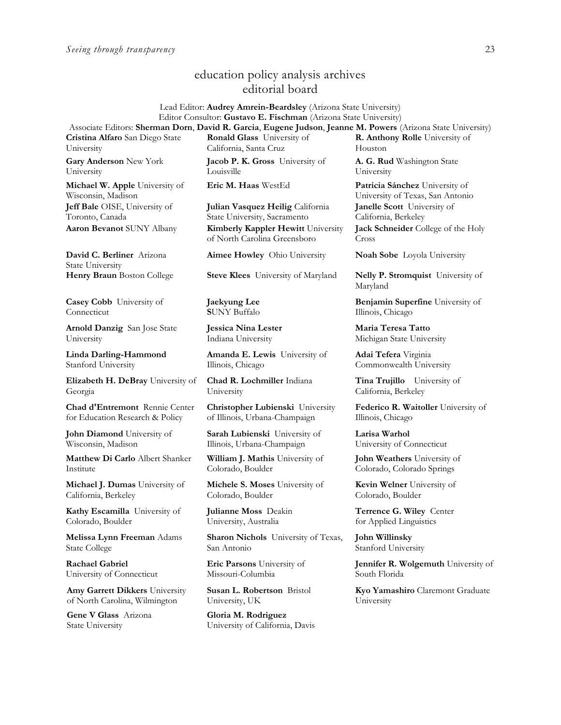# education policy analysis archives editorial board

## Lead Editor: **Audrey Amrein-Beardsley** (Arizona State University) Editor Consultor: **Gustavo E. Fischman** (Arizona State University)

Associate Editors: **Sherman Dorn**, **David R. Garcia**, **Eugene Judson**, **Jeanne M. Powers** (Arizona State University) **Cristina Alfaro** San Diego State University

**Gary Anderson** New York University

**Michael W. Apple** University of Wisconsin, Madison **Jeff Bale** OISE, University of Toronto, Canada

**David C. Berliner** Arizona State University

**Casey Cobb** University of Connecticut

**Arnold Danzig** San Jose State University

**Linda Darling-Hammond**  Stanford University

**Elizabeth H. DeBray** University of Georgia

**Chad d'Entremont** Rennie Center for Education Research & Policy

**John Diamond** University of Wisconsin, Madison

**Matthew Di Carlo** Albert Shanker Institute

**Michael J. Dumas** University of California, Berkeley

**Kathy Escamilla** University of Colorado, Boulder

**Melissa Lynn Freeman** Adams State College

**Rachael Gabriel** University of Connecticut

**Amy Garrett Dikkers** University of North Carolina, Wilmington

**Gene V Glass** Arizona State University

**Ronald Glass** University of California, Santa Cruz

**Jacob P. K. Gross** University of Louisville

**Julian Vasquez Heilig** California State University, Sacramento **Aaron Bevanot** SUNY Albany **Kimberly Kappler Hewitt** University of North Carolina Greensboro

**Aimee Howley** Ohio University **Noah Sobe** Loyola University

**Henry Braun** Boston College **Steve Klees** University of Maryland **Nelly P. Stromquist** University of

**Jaekyung Lee S**UNY Buffalo

**Jessica Nina Lester** Indiana University

**Amanda E. Lewis** University of Illinois, Chicago

**Chad R. Lochmiller** Indiana University

**Christopher Lubienski** University of Illinois, Urbana-Champaign

**Sarah Lubienski** University of Illinois, Urbana-Champaign

**William J. Mathis** University of Colorado, Boulder

**Michele S. Moses** University of Colorado, Boulder

**Julianne Moss** Deakin University, Australia

**Sharon Nichols** University of Texas, San Antonio

**Eric Parsons** University of Missouri-Columbia

**Susan L. Robertson** Bristol University, UK

**Gloria M. Rodriguez** University of California, Davis **R. Anthony Rolle** University of Houston **A. G. Rud** Washington State University

**Eric M. Haas** WestEd **Patricia Sánchez** University of University of Texas, San Antonio **Janelle Scott** University of California, Berkeley **Jack Schneider** College of the Holy Cross

Maryland

**Benjamin Superfine** University of Illinois, Chicago

**Maria Teresa Tatto**  Michigan State University

**Adai Tefera** Virginia Commonwealth University

**Tina Trujillo** University of California, Berkeley

**Federico R. Waitoller** University of Illinois, Chicago

**Larisa Warhol** University of Connecticut

**John Weathers** University of Colorado, Colorado Springs

**Kevin Welner** University of Colorado, Boulder

**Terrence G. Wiley** Center for Applied Linguistics

**John Willinsky**  Stanford University

**Jennifer R. Wolgemuth University of** South Florida

**Kyo Yamashiro** Claremont Graduate University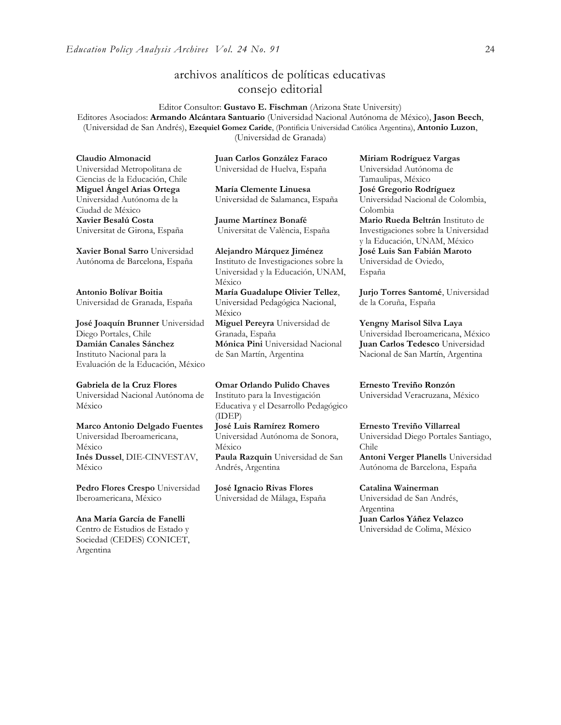# archivos analíticos de políticas educativas consejo editorial

Editor Consultor: **Gustavo E. Fischman** (Arizona State University) Editores Asociados: **Armando Alcántara Santuario** (Universidad Nacional Autónoma de México), **Jason Beech**, (Universidad de San Andrés), **Ezequiel Gomez Caride**, (Pontificia Universidad Católica Argentina), **Antonio Luzon**, (Universidad de Granada)

**Claudio Almonacid** Universidad Metropolitana de Ciencias de la Educación, Chile **Miguel Ángel Arias Ortega**  Universidad Autónoma de la Ciudad de México **Xavier Besalú Costa**  Universitat de Girona, España

**[Xavier Bonal](javascript:openRTWindow() Sarro** Universidad Autónoma de Barcelona, España

**[Antonio Bolívar](javascript:openRTWindow() Boitia** Universidad de Granada, España

**[José Joaquín Brunner](javascript:openRTWindow()** Universidad Diego Portales, Chile **[Damián Canales Sánchez](javascript:openRTWindow()** Instituto Nacional para la Evaluación de la Educación, México

# **Gabriela de la Cruz Flores**

Universidad Nacional Autónoma de México

**[Marco Antonio Delgado Fuentes](javascript:openRTWindow()** Universidad Iberoamericana, México **Inés [Dussel](javascript:openRTWindow()**, DIE-CINVESTAV, México

**[Pedro Flores Crespo](javascript:openRTWindow()** Universidad Iberoamericana, México

#### **Ana María García de Fanelli**

Centro de Estudios de Estado y Sociedad (CEDES) CONICET, Argentina

**Juan Carlos González Faraco**  Universidad de Huelva, España

**María Clemente Linuesa**  Universidad de Salamanca, España

**Jaume Martínez Bonafé** Universitat de València, España

**Alejandro Márquez Jiménez**  Instituto de Investigaciones sobre la Universidad y la Educación, UNAM, México **María Guadalupe Olivier Tellez**, Universidad Pedagógica Nacional, México **[Miguel Pereyra](javascript:openRTWindow()** Universidad de Granada, España **[Mónica Pini](javascript:openRTWindow()** Universidad Nacional

de San Martín, Argentina

**Omar Orlando Pulido Chaves** Instituto para la Investigación Educativa y el Desarrollo Pedagógico (IDEP) **[José Luis Ramírez](javascript:openRTWindow() Romero**

Universidad Autónoma de Sonora, México **[Paula Razquin](javascript:openRTWindow()** Universidad de San Andrés, Argentina

**José Ignacio Rivas Flores** Universidad de Málaga, España **[Miriam Rodríguez Vargas](javascript:openRTWindow()** Universidad Autónoma de Tamaulipas, México **José Gregorio Rodríguez**  Universidad Nacional de Colombia, Colombia **[Mario Rueda Beltrán](javascript:openRTWindow()** Instituto de Investigaciones sobre la Universidad y la Educación, UNAM, México **José Luis San Fabián Maroto**  Universidad de Oviedo, España

**[Jurjo Torres Santomé](javascript:openRTWindow()**, Universidad de la Coruña, España

**[Yengny Marisol Silva Laya](javascript:openRTWindow()** Universidad Iberoamericana, México **Juan Carlos Tedesco** Universidad Nacional de San Martín, Argentina

**Ernesto Treviño Ronzón** Universidad Veracruzana, México

**[Ernesto Treviño](javascript:openRTWindow() Villarreal** Universidad Diego Portales Santiago, Chile **[Antoni Verger Planells](javascript:openRTWindow()** Universidad

Autónoma de Barcelona, España

#### **[Catalina Wainerman](javascript:openRTWindow()**

Universidad de San Andrés, Argentina **Juan Carlos Yáñez Velazco** Universidad de Colima, México